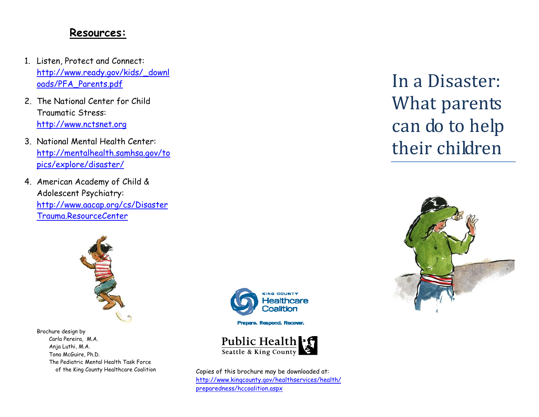#### **Resources:**

- 1. Listen, Protect and Connect: [http://www.ready.gov/kids/\\_downl](http://www.ready.gov/kids/_downloads/PFA_Parents.pdf) [oads/PFA\\_Parents.pdf](http://www.ready.gov/kids/_downloads/PFA_Parents.pdf)
- 2. The National Center for Child Traumatic Stress: [http://www.nctsnet.org](http://www.nctsnet.org/)
- 3. National Mental Health Center: [http://mentalhealth.samhsa.gov/to](http://mentalhealth.samhsa.gov/topics/explore/disaster/) p[ics/explore/disaster/](http://mentalhealth.samhsa.gov/topics/explore/disaster/)
- 4. American Academy of Child & Adolescent Psychiatry: [http://www.aacap.org/cs/Disaster](http://www.aacap.org/cs/DisasterTrauma.ResourceCenter) [Trauma.ResourceCenter](http://www.aacap.org/cs/DisasterTrauma.ResourceCenter)



Brochure design by Carla Pereira, M.A. Anja Luthi, M.A. Tona McGuire, Ph.D. The Pediatric Mental Health Task Force



Prepare. Respond. Recover.



 of the King County Healthcare Coalition Copies of this brochure may be downloaded at: [http://www.kingcounty.gov/healthservices/health/](http://www.kingcounty.gov/healthservices/health/preparedness/hccoalition.aspx) prepare[dness/hccoalition.aspx](http://www.kingcounty.gov/healthservices/health/preparedness/hccoalition.aspx)

In a Disaster: What parents can do to help their children